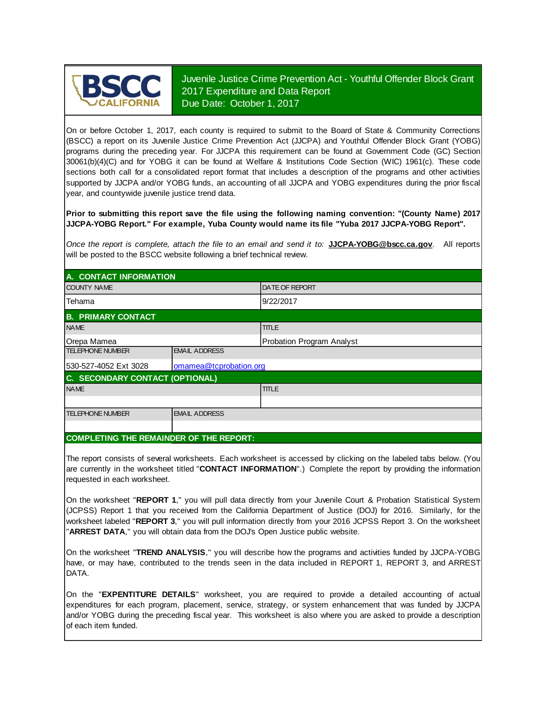

Juvenile Justice Crime Prevention Act - Youthful Offender Block Grant 2017 Expenditure and Data Report Due Date: October 1, 2017

On or before October 1, 2017, each county is required to submit to the Board of State & Community Corrections (BSCC) <sup>a</sup> report on its Juvenile Justice Crime Prevention Act (JJCPA) and Youthful Offender Block Grant (YOBG) programs during the preceding year. For JJCPA this requirement can be found at Government Code (GC) Section 30061(b)(4)(C) and for YOBG it can be found at Welfare & Institutions Code Section (WIC) 1961(c). These code sections both call for <sup>a</sup> consolidated report format that includes <sup>a</sup> description of the programs and other activities supported by JJCPA and/or YOBG funds, an accounting of all JJCPA and YOBG expenditures during the prior fiscal year, and countywide juvenile justice trend data.

**Prior to submitting this report save the file using the following naming convention: "(County Name) 2017 JJCPA-YOBG Report." For example, Yuba County would name its file "Yuba 2017 JJCPA-YOBG Report".**

*Once the report is complete, attach the file t o an email and send it to:* **JJCPA-YOBG@bscc.ca.gov**. All reports will be posted to the BSCC website following a brief technical review.

| A. CONTACT INFORMATION          |                        |                           |  |  |
|---------------------------------|------------------------|---------------------------|--|--|
| <b>COUNTY NAME</b>              |                        | <b>IDATE OF REPORT</b>    |  |  |
| Tehama                          |                        | 9/22/2017                 |  |  |
| <b>B. PRIMARY CONTACT</b>       |                        |                           |  |  |
| <b>NAME</b>                     |                        | <b>TITLE</b>              |  |  |
| Orepa Mamea                     |                        | Probation Program Analyst |  |  |
| <b>TELEPHONE NUMBER</b>         | <b>EMAIL ADDRESS</b>   |                           |  |  |
| 530-527-4052 Ext 3028           | omamea@tcprobation.org |                           |  |  |
| C. SECONDARY CONTACT (OPTIONAL) |                        |                           |  |  |
| <b>NAME</b>                     |                        | <b>TITLE</b>              |  |  |
|                                 |                        |                           |  |  |
| <b>TELEPHONE NUMBER</b>         | <b>EMAIL ADDRESS</b>   |                           |  |  |
|                                 |                        |                           |  |  |

#### **COMPLETING THE REMAINDER OF THE REPORT:**

The report consists of several worksheets. Each worksheet is accessed by clicking on the labeled tabs below. (You are currently in the worksheet titled "**CONTACT INFORMATION**".) Complete the report by providing the information requested in each worksheet.

On the worksheet "**REPORT 1**, " you will pull data directly from your Juvenile Court & Probation Statistical System (JCPSS) Report 1 that you received from the California Department of Justice (DOJ) for 2016. Similarly, for the worksheet labeled "**REPORT 3**, " you will pull information directly from your 2016 JCPSS Report 3. On the worksheet "**ARREST DATA**," you will obtain data from the DOJ's Open Justice public website.

On the worksheet "**TREND ANALYSIS**, " you will describe how the programs and activities funded by JJCPA-YOBG have, or may have, contributed to the trends seen in the data included in REPORT 1, REPORT 3, and ARREST DATA.

On the "EXPENTITURE DETAILS" worksheet, you are required to provide a detailed accounting of actual expenditures for each program, placement, service, strategy, or system enhancement that was funded by JJCPA and/or YOBG during the preceding fiscal year. This worksheet is also where you are asked to provide a description of each item funded.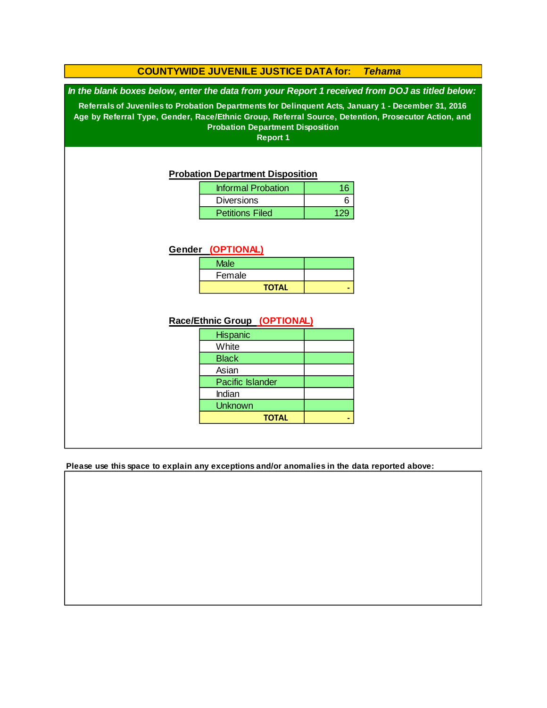### **COUNTYWIDE JUVENILE JUSTICE DATA for:** *Tehama*

*In the blank boxes below, enter the data from your Report 1 received from DOJ as titled below:*

**Referrals of Juveniles to Probation Departments for Delinquent Acts, January 1 - December 31, 2016 Age by Referral Type, Gender, Race/Ethnic Group, Referral Source, Detention, Prosecutor Action, and Probation Department Disposition**

**Report 1**

### **Probation Department Disposition**

| <b>Informal Probation</b> | 16 |
|---------------------------|----|
| <b>Diversions</b>         |    |
| <b>Petitions Filed</b>    |    |

#### **Gender (OPTIONAL)**

| <b>Male</b>  |  |
|--------------|--|
| Female       |  |
| <b>TOTAL</b> |  |

### **Race/Ethnic Group (OPTIONAL)**

| <b>Hispanic</b>         |  |
|-------------------------|--|
| White                   |  |
| <b>Black</b>            |  |
| Asian                   |  |
| <b>Pacific Islander</b> |  |
| Indian                  |  |
| <b>Unknown</b>          |  |
| <b>TOTAL</b>            |  |

**Please use this space to explain any exceptions and/or anomalies in the data reported above:**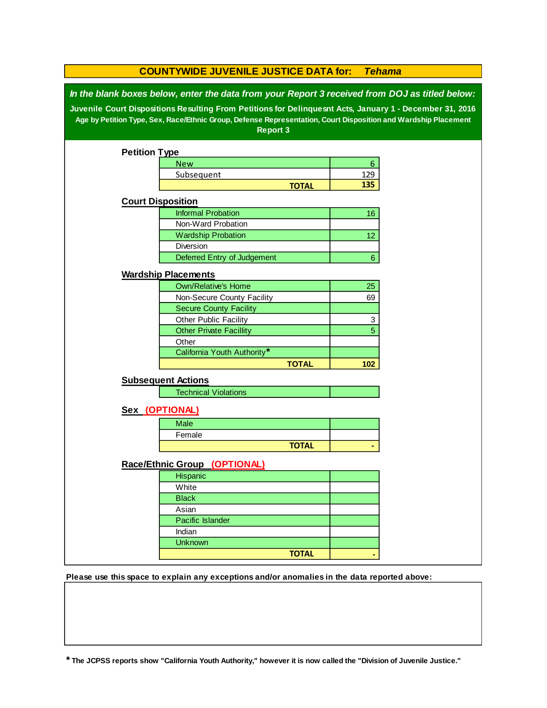| <b>COUNTYWIDE JUVENILE JUSTICE DATA for:</b><br><b>Tehama</b>                                                                                                                                                                                                                                                                            |                                |                |  |  |  |  |  |
|------------------------------------------------------------------------------------------------------------------------------------------------------------------------------------------------------------------------------------------------------------------------------------------------------------------------------------------|--------------------------------|----------------|--|--|--|--|--|
| In the blank boxes below, enter the data from your Report 3 received from DOJ as titled below:<br>Juvenile Court Dispositions Resulting From Petitions for Delinquesnt Acts, January 1 - December 31, 2016<br>Age by Petition Type, Sex, Race/Ethnic Group, Defense Representation, Court Disposition and Wardship Placement<br>Report 3 |                                |                |  |  |  |  |  |
| <b>Petition Type</b>                                                                                                                                                                                                                                                                                                                     |                                |                |  |  |  |  |  |
|                                                                                                                                                                                                                                                                                                                                          | <b>New</b>                     | 6              |  |  |  |  |  |
|                                                                                                                                                                                                                                                                                                                                          | Subsequent                     | 129            |  |  |  |  |  |
|                                                                                                                                                                                                                                                                                                                                          | <b>TOTAL</b>                   | 135            |  |  |  |  |  |
|                                                                                                                                                                                                                                                                                                                                          | <b>Court Disposition</b>       |                |  |  |  |  |  |
|                                                                                                                                                                                                                                                                                                                                          | <b>Informal Probation</b>      | 16             |  |  |  |  |  |
|                                                                                                                                                                                                                                                                                                                                          | Non-Ward Probation             |                |  |  |  |  |  |
|                                                                                                                                                                                                                                                                                                                                          | <b>Wardship Probation</b>      | 12             |  |  |  |  |  |
|                                                                                                                                                                                                                                                                                                                                          | Diversion                      |                |  |  |  |  |  |
|                                                                                                                                                                                                                                                                                                                                          | Deferred Entry of Judgement    | $6\phantom{a}$ |  |  |  |  |  |
|                                                                                                                                                                                                                                                                                                                                          | <b>Wardship Placements</b>     |                |  |  |  |  |  |
|                                                                                                                                                                                                                                                                                                                                          | <b>Own/Relative's Home</b>     | 25             |  |  |  |  |  |
|                                                                                                                                                                                                                                                                                                                                          | Non-Secure County Facility     | 69             |  |  |  |  |  |
|                                                                                                                                                                                                                                                                                                                                          | <b>Secure County Facility</b>  |                |  |  |  |  |  |
|                                                                                                                                                                                                                                                                                                                                          | Other Public Facility          | 3              |  |  |  |  |  |
|                                                                                                                                                                                                                                                                                                                                          | <b>Other Private Facillity</b> | 5              |  |  |  |  |  |
|                                                                                                                                                                                                                                                                                                                                          | Other                          |                |  |  |  |  |  |
|                                                                                                                                                                                                                                                                                                                                          | California Youth Authority*    |                |  |  |  |  |  |
|                                                                                                                                                                                                                                                                                                                                          | <b>TOTAL</b>                   | 102            |  |  |  |  |  |
|                                                                                                                                                                                                                                                                                                                                          | <b>Subsequent Actions</b>      |                |  |  |  |  |  |
|                                                                                                                                                                                                                                                                                                                                          | <b>Technical Violations</b>    |                |  |  |  |  |  |
|                                                                                                                                                                                                                                                                                                                                          |                                |                |  |  |  |  |  |
|                                                                                                                                                                                                                                                                                                                                          | Sex (OPTIONAL)                 |                |  |  |  |  |  |
|                                                                                                                                                                                                                                                                                                                                          | Male                           |                |  |  |  |  |  |
|                                                                                                                                                                                                                                                                                                                                          | Female                         |                |  |  |  |  |  |
|                                                                                                                                                                                                                                                                                                                                          | <b>TOTAL</b>                   |                |  |  |  |  |  |
|                                                                                                                                                                                                                                                                                                                                          | Race/Ethnic Group (OPTIONAL)   |                |  |  |  |  |  |
|                                                                                                                                                                                                                                                                                                                                          | Hispanic                       |                |  |  |  |  |  |
|                                                                                                                                                                                                                                                                                                                                          | White                          |                |  |  |  |  |  |
|                                                                                                                                                                                                                                                                                                                                          | <b>Black</b>                   |                |  |  |  |  |  |
|                                                                                                                                                                                                                                                                                                                                          | Asian                          |                |  |  |  |  |  |
|                                                                                                                                                                                                                                                                                                                                          | Pacific Islander               |                |  |  |  |  |  |
|                                                                                                                                                                                                                                                                                                                                          | Indian                         |                |  |  |  |  |  |
|                                                                                                                                                                                                                                                                                                                                          | <b>Unknown</b>                 |                |  |  |  |  |  |
|                                                                                                                                                                                                                                                                                                                                          | <b>TOTAL</b>                   |                |  |  |  |  |  |

**Please use this space to explain any exceptions and/or anomalies in the data reported above:** 

**\* The JCPSS reports show "California Youth Authority," however it is now called the "Division of Juvenile Justice."**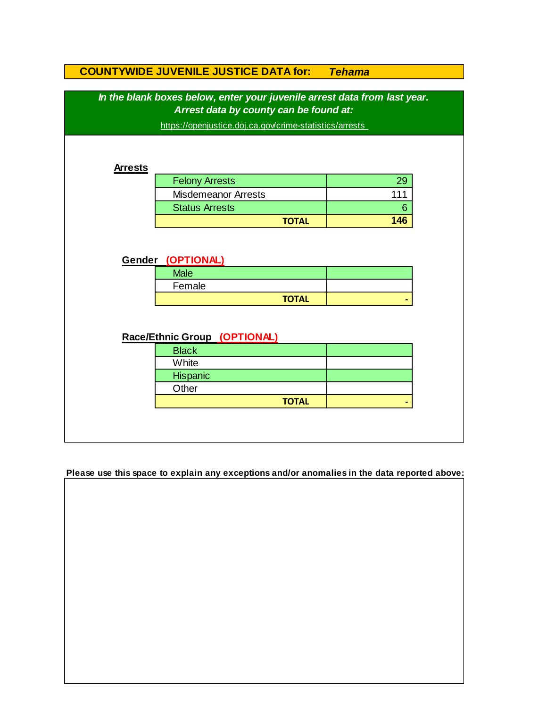|                | In the blank boxes below, enter your juvenile arrest data from last year. |     |
|----------------|---------------------------------------------------------------------------|-----|
|                | Arrest data by county can be found at:                                    |     |
|                | https://openjustice.doj.ca.gov/crime-statistics/arrests                   |     |
|                |                                                                           |     |
|                |                                                                           |     |
| <b>Arrests</b> |                                                                           |     |
|                | <b>Felony Arrests</b>                                                     | 29  |
|                | <b>Misdemeanor Arrests</b>                                                | 111 |
|                | <b>Status Arrests</b>                                                     | 6   |
|                |                                                                           |     |
|                | <b>TOTAL</b><br>Gender (OPTIONAL)                                         | 146 |
|                |                                                                           |     |
|                | <b>Male</b>                                                               |     |
|                | Female                                                                    |     |
|                | <b>TOTAL</b>                                                              |     |
|                |                                                                           |     |
|                |                                                                           |     |
|                | Race/Ethnic Group (OPTIONAL)                                              |     |
|                | <b>Black</b><br>White                                                     |     |
|                |                                                                           |     |
|                | Hispanic<br>Other                                                         |     |

**Please use this space to explain any exceptions and/or anomalies in the data reported above:**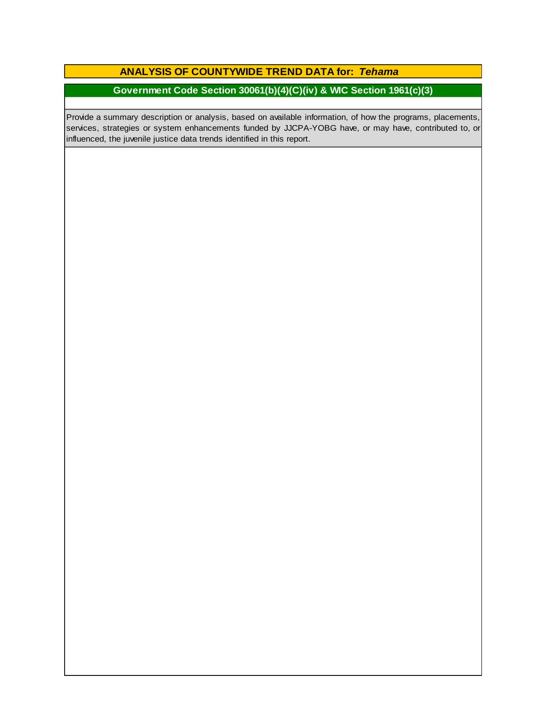### **ANALYSIS OF COUNTYWIDE TREND DATA for:** *Tehama*

# **Government Code Section 30061(b)(4)(C)(iv) & WIC Section 1961(c)(3)**

Provide a summary description or analysis, based on available information, of how the programs, placements, services, strategies or system enhancements funded by JJCPA-YOBG have, or may have, contributed to, or influenced, the juvenile justice data trends identified in this report.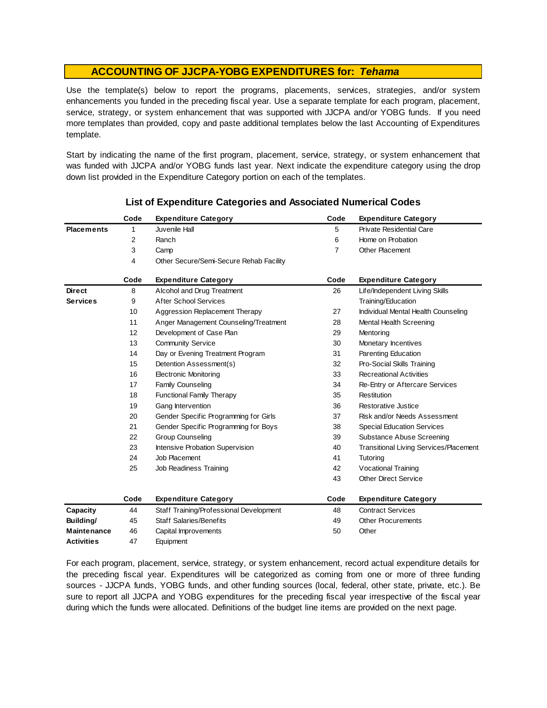Use the template(s) below to report the programs, placements, services, strategies, and/or system enhancements you funded in the preceding fiscal year. Use <sup>a</sup> separate template for each program, placement, service, strategy, or system enhancement that was supported with JJCPA and/or YOBG funds. If you need more templates than provided, copy and paste additional templates below the last Accounting of Expenditures template.

Start by indicating the name of the first program, placement, service, strategy, or system enhancement that was funded with JJCPA and/or YOBG funds last year. Next indicate the expenditure category using the drop down list provided in the Expenditure Category portion on each of the templates.

|                    | Code | <b>Expenditure Category</b>             | Code           | <b>Expenditure Category</b>                   |
|--------------------|------|-----------------------------------------|----------------|-----------------------------------------------|
| <b>Placements</b>  | 1    | Juvenile Hall                           | 5              | <b>Private Residential Care</b>               |
|                    | 2    | Ranch                                   | 6              | Home on Probation                             |
|                    | 3    | Camp                                    | $\overline{7}$ | Other Placement                               |
|                    | 4    | Other Secure/Semi-Secure Rehab Facility |                |                                               |
|                    | Code | <b>Expenditure Category</b>             | Code           | <b>Expenditure Category</b>                   |
| <b>Direct</b>      | 8    | Alcohol and Drug Treatment              | 26             | Life/Independent Living Skills                |
| <b>Services</b>    | 9    | <b>After School Services</b>            |                | Training/Education                            |
|                    | 10   | Aggression Replacement Therapy          | 27             | Individual Mental Health Counseling           |
|                    | 11   | Anger Management Counseling/Treatment   | 28             | Mental Health Screening                       |
|                    | 12   | Development of Case Plan                | 29             | Mentoring                                     |
|                    | 13   | <b>Community Service</b>                | 30             | Monetary Incentives                           |
|                    | 14   | Day or Evening Treatment Program        | 31             | Parenting Education                           |
|                    | 15   | Detention Assessment(s)                 | 32             | Pro-Social Skills Training                    |
|                    | 16   | <b>Electronic Monitoring</b>            | 33             | <b>Recreational Activities</b>                |
|                    | 17   | <b>Family Counseling</b>                | 34             | Re-Entry or Aftercare Services                |
|                    | 18   | <b>Functional Family Therapy</b>        | 35             | Restitution                                   |
|                    | 19   | Gang Intervention                       | 36             | Restorative Justice                           |
|                    | 20   | Gender Specific Programming for Girls   | 37             | Risk and/or Needs Assessment                  |
|                    | 21   | Gender Specific Programming for Boys    | 38             | <b>Special Education Services</b>             |
|                    | 22   | <b>Group Counseling</b>                 | 39             | Substance Abuse Screening                     |
|                    | 23   | Intensive Probation Supervision         | 40             | <b>Transitional Living Services/Placement</b> |
|                    | 24   | Job Placement                           | 41             | Tutoring                                      |
|                    | 25   | Job Readiness Training                  | 42             | Vocational Training                           |
|                    |      |                                         | 43             | <b>Other Direct Service</b>                   |
|                    | Code | <b>Expenditure Category</b>             | Code           | <b>Expenditure Category</b>                   |
| Capacity           | 44   | Staff Training/Professional Development | 48             | <b>Contract Services</b>                      |
| Building/          | 45   | <b>Staff Salaries/Benefits</b>          | 49             | <b>Other Procurements</b>                     |
| <b>Maintenance</b> | 46   | Capital Improvements                    | 50             | Other                                         |
| <b>Activities</b>  | 47   | Equipment                               |                |                                               |

### **List of Expenditure Categories and Associated Numerical Codes**

For each program, placement, service, strategy, or system enhancement, record actual expenditure details for the preceding fiscal year. Expenditures will be categorized as coming from one or more of three funding sources - JJCPA funds, YOBG funds, and other funding sources (local, federal, other state, private, etc.). Be sure to report all JJCPA and YOBG expenditures for the preceding fiscal year irrespective of the fiscal year during which the funds were allocated. Definitions of the budget line items are provided on the next page.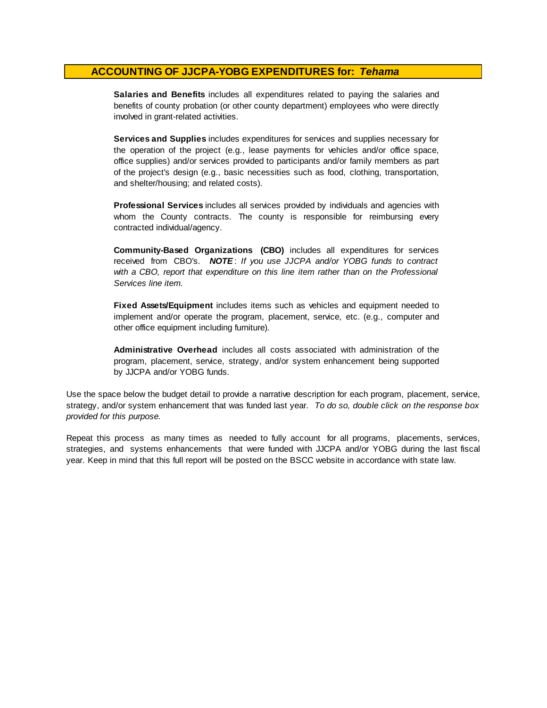**Salaries and Benefits** includes all expenditures related to paying the salaries and benefits of county probation (or other county department) employees who were directly involved in grant-related activities.

**Services and Supplies** includes expenditures for services and supplies necessary for the operation of the project (e.g., lease payments for vehicles and/or office space, office supplies) and/or services provided to participants and/or family members as part of the project's design (e.g., basic necessities such as food, clothing, transportation, and shelter/housing; and related costs).

**Professional Services** includes all services provided by individuals and agencies with whom the County contracts. The county is responsible for reimbursing every contracted individual/agency.

**Community-Based Organizations (CBO)** includes all expenditures for services received from CBO's. *NOTE* : *I f you use JJCPA and/or YOBG funds t o contract with <sup>a</sup> CBO, report that expenditure on this line item rather than on the Professional Services line item.*

**Fixed Assets/Equipment** includes items such as vehicles and equipment needed to implement and/or operate the program, placement, service, etc. (e.g., computer and other office equipment including furniture).

**Administrative Overhead** includes all costs associated with administration of the program, placement, service, strategy, and/or system enhancement being supported by JJCPA and/or YOBG funds.

Use the space below the budget detail to provide a narrative description for each program, placement, service, strategy, and/or system enhancement that was funded last year. *To do so, double click on the response box provided for this purpose.* 

Repeat this process as many times as needed to fully account for all programs, placements, services, strategies, and systems enhancements that were funded with JJCPA and/or YOBG during the last fiscal year. Keep in mind that this full report will be posted on the BSCC website in accordance with state law.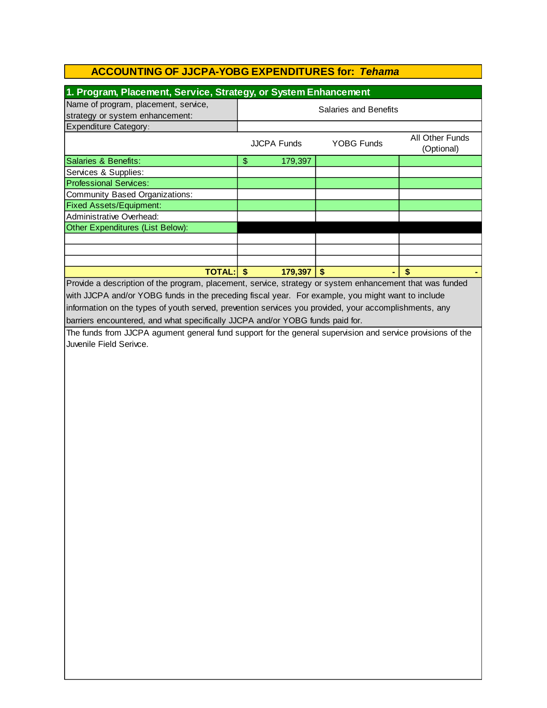| 1. Program, Placement, Service, Strategy, or System Enhancement                                          |                              |         |                   |                               |  |
|----------------------------------------------------------------------------------------------------------|------------------------------|---------|-------------------|-------------------------------|--|
| Name of program, placement, service,                                                                     |                              |         |                   |                               |  |
| strategy or system enhancement:                                                                          | <b>Salaries and Benefits</b> |         |                   |                               |  |
| <b>Expenditure Category:</b>                                                                             |                              |         |                   |                               |  |
|                                                                                                          | <b>JJCPA Funds</b>           |         | <b>YOBG Funds</b> | All Other Funds<br>(Optional) |  |
| Salaries & Benefits:                                                                                     | \$                           | 179,397 |                   |                               |  |
| Services & Supplies:                                                                                     |                              |         |                   |                               |  |
| <b>Professional Services:</b>                                                                            |                              |         |                   |                               |  |
| Community Based Organizations:                                                                           |                              |         |                   |                               |  |
| <b>Fixed Assets/Equipment:</b>                                                                           |                              |         |                   |                               |  |
| Administrative Overhead:                                                                                 |                              |         |                   |                               |  |
| Other Expenditures (List Below):                                                                         |                              |         |                   |                               |  |
|                                                                                                          |                              |         |                   |                               |  |
|                                                                                                          |                              |         |                   |                               |  |
|                                                                                                          |                              |         |                   |                               |  |
| TOTAL: \$                                                                                                |                              | 179,397 | $\sqrt{2}$        | \$                            |  |
| Provide a description of the program, placement, service, strategy or system enhancement that was funded |                              |         |                   |                               |  |
| with JJCPA and/or YOBG funds in the preceding fiscal year. For example, you might want to include        |                              |         |                   |                               |  |
| information on the types of youth served, prevention services you provided, your accomplishments, any    |                              |         |                   |                               |  |
| barriers encountered, and what specifically JJCPA and/or YOBG funds paid for.                            |                              |         |                   |                               |  |
|                                                                                                          |                              |         |                   |                               |  |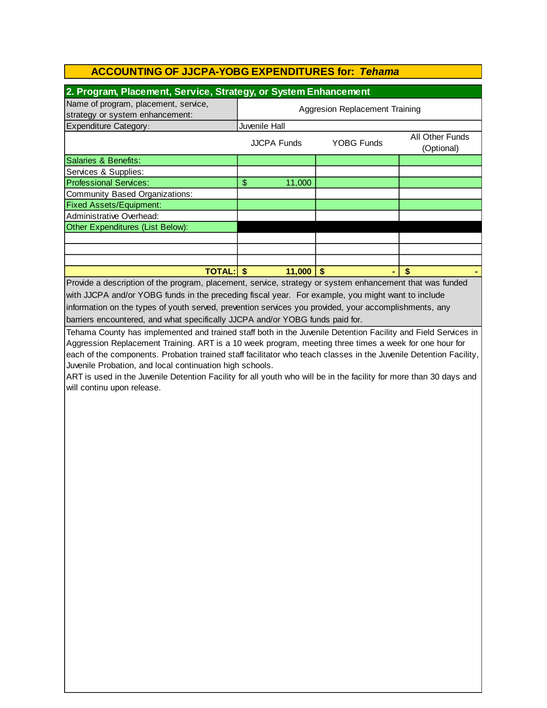| 2. Program, Placement, Service, Strategy, or System Enhancement                                                    |                                |             |                   |                 |  |
|--------------------------------------------------------------------------------------------------------------------|--------------------------------|-------------|-------------------|-----------------|--|
| Name of program, placement, service,                                                                               | Aggresion Replacement Training |             |                   |                 |  |
| strategy or system enhancement:                                                                                    | Juvenile Hall                  |             |                   |                 |  |
| <b>Expenditure Category:</b>                                                                                       | <b>JJCPA Funds</b>             |             | <b>YOBG Funds</b> | All Other Funds |  |
|                                                                                                                    |                                |             |                   | (Optional)      |  |
| Salaries & Benefits:                                                                                               |                                |             |                   |                 |  |
| Services & Supplies:                                                                                               |                                |             |                   |                 |  |
| <b>Professional Services:</b>                                                                                      | \$                             | 11,000      |                   |                 |  |
| <b>Community Based Organizations:</b>                                                                              |                                |             |                   |                 |  |
| <b>Fixed Assets/Equipment:</b>                                                                                     |                                |             |                   |                 |  |
| Administrative Overhead:                                                                                           |                                |             |                   |                 |  |
| Other Expenditures (List Below):                                                                                   |                                |             |                   |                 |  |
|                                                                                                                    |                                |             |                   |                 |  |
|                                                                                                                    |                                |             |                   |                 |  |
|                                                                                                                    |                                |             |                   |                 |  |
| TOTAL: \$                                                                                                          |                                | $11,000$ \$ |                   | \$              |  |
| Provide a description of the program, placement, service, strategy or system enhancement that was funded           |                                |             |                   |                 |  |
| with JJCPA and/or YOBG funds in the preceding fiscal year. For example, you might want to include                  |                                |             |                   |                 |  |
| information on the types of youth served, prevention services you provided, your accomplishments, any              |                                |             |                   |                 |  |
| barriers encountered, and what specifically JJCPA and/or YOBG funds paid for.                                      |                                |             |                   |                 |  |
| Tehama County has implemented and trained staff both in the Juvenile Detention Facility and Field Services in      |                                |             |                   |                 |  |
| Aggression Replacement Training. ART is a 10 week program, meeting three times a week for one hour for             |                                |             |                   |                 |  |
| each of the components. Probation trained staff facilitator who teach classes in the Juvenile Detention Facility,  |                                |             |                   |                 |  |
| Juvenile Probation, and local continuation high schools.                                                           |                                |             |                   |                 |  |
| ART is used in the Juvenile Detention Facility for all youth who will be in the facility for more than 30 days and |                                |             |                   |                 |  |
| will continu upon release.                                                                                         |                                |             |                   |                 |  |
|                                                                                                                    |                                |             |                   |                 |  |
|                                                                                                                    |                                |             |                   |                 |  |
|                                                                                                                    |                                |             |                   |                 |  |
|                                                                                                                    |                                |             |                   |                 |  |
|                                                                                                                    |                                |             |                   |                 |  |
|                                                                                                                    |                                |             |                   |                 |  |
|                                                                                                                    |                                |             |                   |                 |  |
|                                                                                                                    |                                |             |                   |                 |  |
|                                                                                                                    |                                |             |                   |                 |  |
|                                                                                                                    |                                |             |                   |                 |  |
|                                                                                                                    |                                |             |                   |                 |  |
|                                                                                                                    |                                |             |                   |                 |  |
|                                                                                                                    |                                |             |                   |                 |  |
|                                                                                                                    |                                |             |                   |                 |  |
|                                                                                                                    |                                |             |                   |                 |  |
|                                                                                                                    |                                |             |                   |                 |  |
|                                                                                                                    |                                |             |                   |                 |  |
|                                                                                                                    |                                |             |                   |                 |  |
|                                                                                                                    |                                |             |                   |                 |  |
|                                                                                                                    |                                |             |                   |                 |  |
|                                                                                                                    |                                |             |                   |                 |  |
|                                                                                                                    |                                |             |                   |                 |  |
|                                                                                                                    |                                |             |                   |                 |  |
|                                                                                                                    |                                |             |                   |                 |  |
|                                                                                                                    |                                |             |                   |                 |  |
|                                                                                                                    |                                |             |                   |                 |  |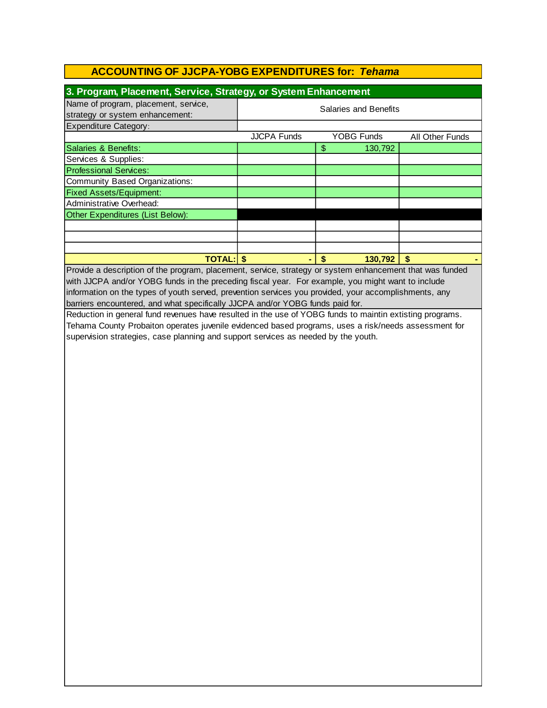| 3. Program, Placement, Service, Strategy, or System Enhancement         |                              |                   |                 |  |  |  |
|-------------------------------------------------------------------------|------------------------------|-------------------|-----------------|--|--|--|
| Name of program, placement, service,<br>strategy or system enhancement: | <b>Salaries and Benefits</b> |                   |                 |  |  |  |
| <b>Expenditure Category:</b>                                            |                              |                   |                 |  |  |  |
|                                                                         | <b>JJCPA Funds</b>           | <b>YOBG Funds</b> | All Other Funds |  |  |  |
| Salaries & Benefits:                                                    |                              | \$<br>130,792     |                 |  |  |  |
| Services & Supplies:                                                    |                              |                   |                 |  |  |  |
| <b>Professional Services:</b>                                           |                              |                   |                 |  |  |  |
| Community Based Organizations:                                          |                              |                   |                 |  |  |  |
| <b>Fixed Assets/Equipment:</b>                                          |                              |                   |                 |  |  |  |
| Administrative Overhead:                                                |                              |                   |                 |  |  |  |
| Other Expenditures (List Below):                                        |                              |                   |                 |  |  |  |
|                                                                         |                              |                   |                 |  |  |  |
|                                                                         |                              |                   |                 |  |  |  |
|                                                                         |                              |                   |                 |  |  |  |
| <b>TOTAL: \$</b>                                                        |                              | 130,792<br>\$     | \$              |  |  |  |

barriers encountered, and what specifically JJCPA and/or YOBG funds paid for. information on the types of youth served, prevention services you provided, your accomplishments, any Provide a description of the program, placement, service, strategy or system enhancement that was funded with JJCPA and/or YOBG funds in the preceding fiscal year. For example, you might want to include

Reduction in general fund revenues have resulted in the use of YOBG funds to maintin extisting programs. Tehama County Probaiton operates juvenile evidenced based programs, uses a risk/needs assessment for supervision strategies, case planning and support services as needed by the youth.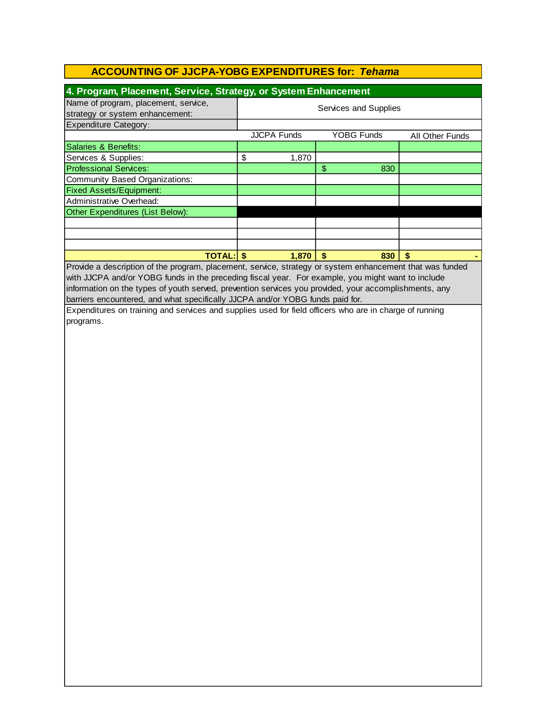| 4. Program, Placement, Service, Strategy, or System Enhancement                                          |                       |       |               |                   |                 |  |
|----------------------------------------------------------------------------------------------------------|-----------------------|-------|---------------|-------------------|-----------------|--|
| Name of program, placement, service,                                                                     |                       |       |               |                   |                 |  |
| strategy or system enhancement:                                                                          | Services and Supplies |       |               |                   |                 |  |
| <b>Expenditure Category:</b>                                                                             |                       |       |               |                   |                 |  |
|                                                                                                          | <b>JJCPA Funds</b>    |       |               | <b>YOBG Funds</b> | All Other Funds |  |
| <b>Salaries &amp; Benefits:</b>                                                                          |                       |       |               |                   |                 |  |
| Services & Supplies:                                                                                     | \$                    | 1,870 |               |                   |                 |  |
| <b>Professional Services:</b>                                                                            |                       |       | $\frac{2}{3}$ | 830               |                 |  |
| <b>Community Based Organizations:</b>                                                                    |                       |       |               |                   |                 |  |
| <b>Fixed Assets/Equipment:</b>                                                                           |                       |       |               |                   |                 |  |
| Administrative Overhead:                                                                                 |                       |       |               |                   |                 |  |
| Other Expenditures (List Below):                                                                         |                       |       |               |                   |                 |  |
|                                                                                                          |                       |       |               |                   |                 |  |
|                                                                                                          |                       |       |               |                   |                 |  |
|                                                                                                          |                       |       |               |                   |                 |  |
| <b>TOTAL: \$</b>                                                                                         |                       | 1,870 | $\sqrt{2}$    | 830               | \$              |  |
| Provide a description of the program, placement, service, strategy or system enhancement that was funded |                       |       |               |                   |                 |  |
| with JJCPA and/or YOBG funds in the preceding fiscal year. For example, you might want to include        |                       |       |               |                   |                 |  |
| information on the types of youth served, prevention services you provided, your accomplishments, any    |                       |       |               |                   |                 |  |
| barriers encountered, and what specifically JJCPA and/or YOBG funds paid for.                            |                       |       |               |                   |                 |  |
| Expenditures on training and services and supplies used for field officers who are in charge of running  |                       |       |               |                   |                 |  |
| programs.                                                                                                |                       |       |               |                   |                 |  |
|                                                                                                          |                       |       |               |                   |                 |  |
|                                                                                                          |                       |       |               |                   |                 |  |
|                                                                                                          |                       |       |               |                   |                 |  |
|                                                                                                          |                       |       |               |                   |                 |  |
|                                                                                                          |                       |       |               |                   |                 |  |
|                                                                                                          |                       |       |               |                   |                 |  |
|                                                                                                          |                       |       |               |                   |                 |  |
|                                                                                                          |                       |       |               |                   |                 |  |
|                                                                                                          |                       |       |               |                   |                 |  |
|                                                                                                          |                       |       |               |                   |                 |  |
|                                                                                                          |                       |       |               |                   |                 |  |
|                                                                                                          |                       |       |               |                   |                 |  |
|                                                                                                          |                       |       |               |                   |                 |  |
|                                                                                                          |                       |       |               |                   |                 |  |
|                                                                                                          |                       |       |               |                   |                 |  |
|                                                                                                          |                       |       |               |                   |                 |  |
|                                                                                                          |                       |       |               |                   |                 |  |
|                                                                                                          |                       |       |               |                   |                 |  |
|                                                                                                          |                       |       |               |                   |                 |  |
|                                                                                                          |                       |       |               |                   |                 |  |
|                                                                                                          |                       |       |               |                   |                 |  |
|                                                                                                          |                       |       |               |                   |                 |  |
|                                                                                                          |                       |       |               |                   |                 |  |
|                                                                                                          |                       |       |               |                   |                 |  |
|                                                                                                          |                       |       |               |                   |                 |  |
|                                                                                                          |                       |       |               |                   |                 |  |
|                                                                                                          |                       |       |               |                   |                 |  |
|                                                                                                          |                       |       |               |                   |                 |  |
|                                                                                                          |                       |       |               |                   |                 |  |
|                                                                                                          |                       |       |               |                   |                 |  |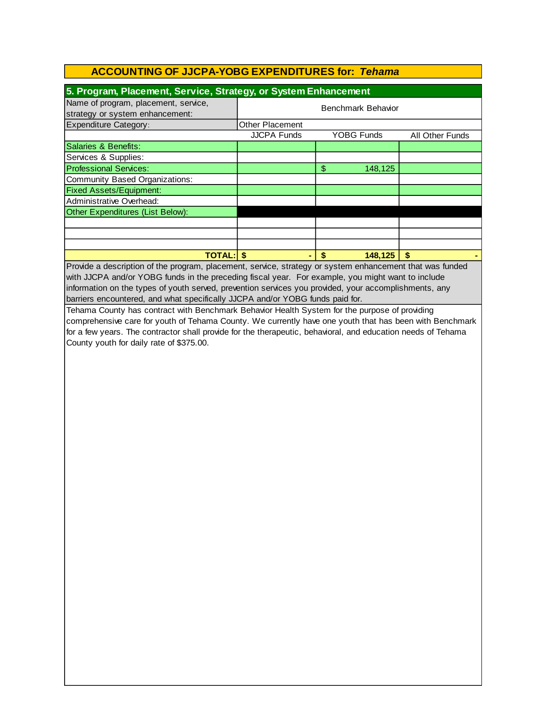| 5. Program, Placement, Service, Strategy, or System Enhancement |                   |                 |  |  |  |  |
|-----------------------------------------------------------------|-------------------|-----------------|--|--|--|--|
| Benchmark Behavior                                              |                   |                 |  |  |  |  |
| Other Placement                                                 |                   |                 |  |  |  |  |
| <b>JJCPA Funds</b>                                              | <b>YOBG Funds</b> | All Other Funds |  |  |  |  |
|                                                                 |                   |                 |  |  |  |  |
|                                                                 |                   |                 |  |  |  |  |
|                                                                 | \$<br>148,125     |                 |  |  |  |  |
|                                                                 |                   |                 |  |  |  |  |
|                                                                 |                   |                 |  |  |  |  |
|                                                                 |                   |                 |  |  |  |  |
|                                                                 |                   |                 |  |  |  |  |
|                                                                 |                   |                 |  |  |  |  |
|                                                                 |                   |                 |  |  |  |  |
|                                                                 |                   |                 |  |  |  |  |
| <b>TOTAL: \$</b>                                                | 148,125           |                 |  |  |  |  |
|                                                                 |                   |                 |  |  |  |  |

Provide a description of the program, placement, service, strategy or system enhancement that was funded with JJCPA and/or YOBG funds in the preceding fiscal year. For example, you might want to include information on the types of youth served, prevention services you provided, your accomplishments, any barriers encountered, and what specifically JJCPA and/or YOBG funds paid for.

Tehama County has contract with Benchmark Behavior Health System for the purpose of providing comprehensive care for youth of Tehama County. We currently have one youth that has been with Benchmark for a few years. The contractor shall provide for the therapeutic, behavioral, and education needs of Tehama County youth for daily rate of \$375.00.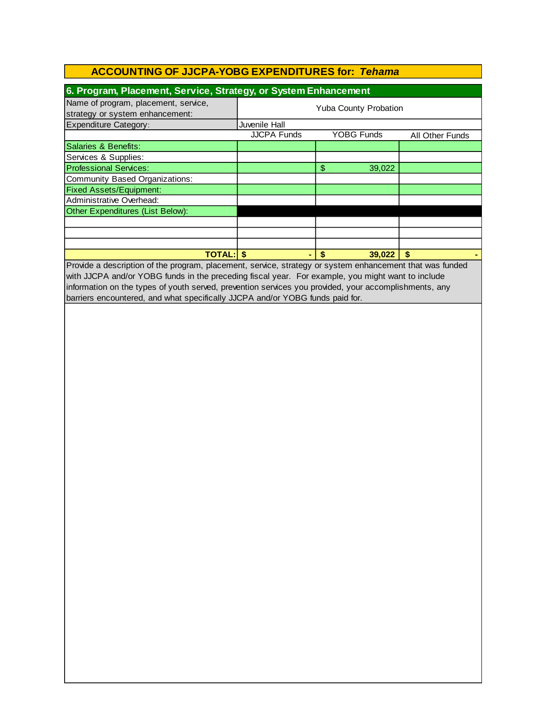| 6. Program, Placement, Service, Strategy, or System Enhancement         |                              |                   |                 |  |
|-------------------------------------------------------------------------|------------------------------|-------------------|-----------------|--|
| Name of program, placement, service,<br>strategy or system enhancement: | <b>Yuba County Probation</b> |                   |                 |  |
| <b>Expenditure Category:</b>                                            | Juvenile Hall                |                   |                 |  |
|                                                                         | <b>JJCPA Funds</b>           | <b>YOBG Funds</b> | All Other Funds |  |
| Salaries & Benefits:                                                    |                              |                   |                 |  |
| Services & Supplies:                                                    |                              |                   |                 |  |
| <b>Professional Services:</b>                                           |                              | \$<br>39,022      |                 |  |
| Community Based Organizations:                                          |                              |                   |                 |  |
| <b>Fixed Assets/Equipment:</b>                                          |                              |                   |                 |  |
| Administrative Overhead:                                                |                              |                   |                 |  |
| Other Expenditures (List Below):                                        |                              |                   |                 |  |
|                                                                         |                              |                   |                 |  |
|                                                                         |                              |                   |                 |  |
|                                                                         |                              |                   |                 |  |
| <b>TOTAL:</b>                                                           |                              | 39,022<br>S       |                 |  |

Provide a description of the program, placement, service, strategy or system enhancement that was funded with JJCPA and/or YOBG funds in the preceding fiscal year. For example, you might want to include information on the types of youth served, prevention services you provided, your accomplishments, any barriers encountered, and what specifically JJCPA and/or YOBG funds paid for.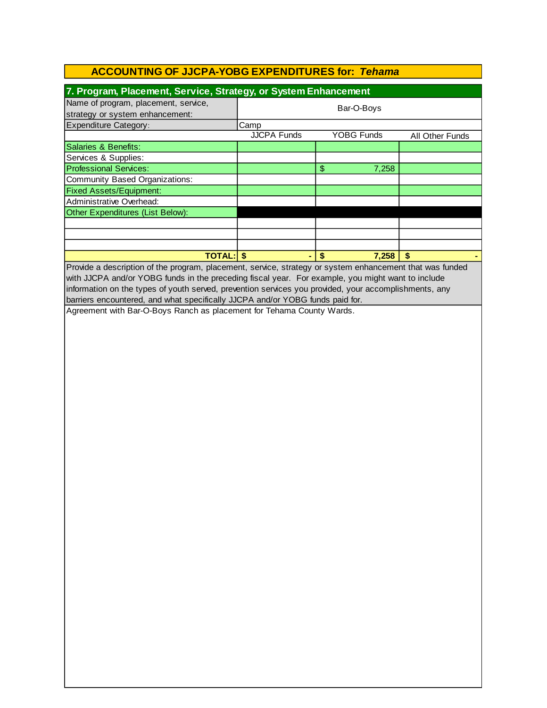| 7. Program, Placement, Service, Strategy, or System Enhancement         |                    |                   |                        |  |  |
|-------------------------------------------------------------------------|--------------------|-------------------|------------------------|--|--|
| Name of program, placement, service,<br>strategy or system enhancement: | Bar-O-Boys         |                   |                        |  |  |
| <b>Expenditure Category:</b>                                            | Camp               |                   |                        |  |  |
|                                                                         | <b>JJCPA Funds</b> | <b>YOBG Funds</b> | <b>All Other Funds</b> |  |  |
| Salaries & Benefits:                                                    |                    |                   |                        |  |  |
| Services & Supplies:                                                    |                    |                   |                        |  |  |
| <b>Professional Services:</b>                                           |                    | \$<br>7,258       |                        |  |  |
| <b>Community Based Organizations:</b>                                   |                    |                   |                        |  |  |
| <b>Fixed Assets/Equipment:</b>                                          |                    |                   |                        |  |  |
| Administrative Overhead:                                                |                    |                   |                        |  |  |
| Other Expenditures (List Below):                                        |                    |                   |                        |  |  |
|                                                                         |                    |                   |                        |  |  |
|                                                                         |                    |                   |                        |  |  |
|                                                                         |                    |                   |                        |  |  |
| <b>TOTAL: \$</b>                                                        |                    | S<br>7.258        | \$                     |  |  |

Provide a description of the program, placement, service, strategy or system enhancement that was funded with JJCPA and/or YOBG funds in the preceding fiscal year. For example, you might want to include information on the types of youth served, prevention services you provided, your accomplishments, any barriers encountered, and what specifically JJCPA and/or YOBG funds paid for.

Agreement with Bar-O-Boys Ranch as placement for Tehama County Wards.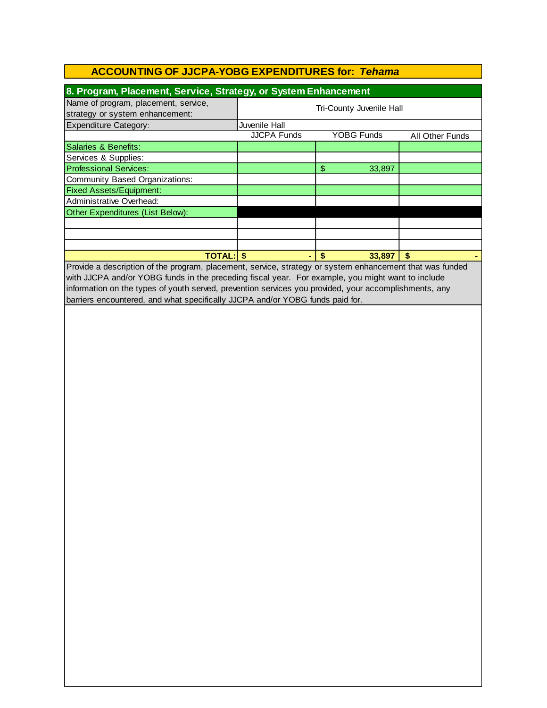| 8. Program, Placement, Service, Strategy, or System Enhancement         |                          |                   |                 |  |
|-------------------------------------------------------------------------|--------------------------|-------------------|-----------------|--|
| Name of program, placement, service,<br>strategy or system enhancement: | Tri-County Juvenile Hall |                   |                 |  |
| <b>Expenditure Category:</b>                                            | Juvenile Hall            |                   |                 |  |
|                                                                         | <b>JJCPA Funds</b>       | <b>YOBG Funds</b> | All Other Funds |  |
| Salaries & Benefits:                                                    |                          |                   |                 |  |
| Services & Supplies:                                                    |                          |                   |                 |  |
| <b>Professional Services:</b>                                           |                          | \$<br>33,897      |                 |  |
| Community Based Organizations:                                          |                          |                   |                 |  |
| <b>Fixed Assets/Equipment:</b>                                          |                          |                   |                 |  |
| Administrative Overhead:                                                |                          |                   |                 |  |
| Other Expenditures (List Below):                                        |                          |                   |                 |  |
|                                                                         |                          |                   |                 |  |
|                                                                         |                          |                   |                 |  |
|                                                                         |                          |                   |                 |  |
| <b>TOTAL: S</b>                                                         |                          | 33,897<br>S       | \$              |  |

Provide a description of the program, placement, service, strategy or system enhancement that was funded with JJCPA and/or YOBG funds in the preceding fiscal year. For example, you might want to include information on the types of youth served, prevention services you provided, your accomplishments, any barriers encountered, and what specifically JJCPA and/or YOBG funds paid for.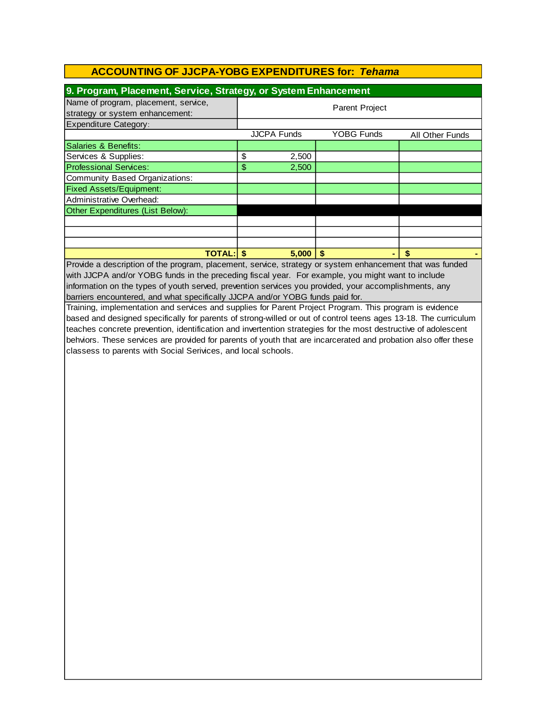| 9. Program, Placement, Service, Strategy, or System Enhancement                                                                                                                                               |                                  |       |                 |     |
|---------------------------------------------------------------------------------------------------------------------------------------------------------------------------------------------------------------|----------------------------------|-------|-----------------|-----|
| Name of program, placement, service,<br>strategy or system enhancement:                                                                                                                                       | <b>Parent Project</b>            |       |                 |     |
| Expenditure Category:                                                                                                                                                                                         |                                  |       |                 |     |
|                                                                                                                                                                                                               | <b>JJCPA Funds</b><br>YOBG Funds |       | All Other Funds |     |
| Salaries & Benefits:                                                                                                                                                                                          |                                  |       |                 |     |
| Services & Supplies:                                                                                                                                                                                          | \$                               | 2,500 |                 |     |
| <b>Professional Services:</b>                                                                                                                                                                                 | \$                               | 2,500 |                 |     |
| Community Based Organizations:                                                                                                                                                                                |                                  |       |                 |     |
| <b>Fixed Assets/Equipment:</b>                                                                                                                                                                                |                                  |       |                 |     |
| Administrative Overhead:                                                                                                                                                                                      |                                  |       |                 |     |
| Other Expenditures (List Below):                                                                                                                                                                              |                                  |       |                 |     |
|                                                                                                                                                                                                               |                                  |       |                 |     |
|                                                                                                                                                                                                               |                                  |       |                 |     |
|                                                                                                                                                                                                               |                                  |       |                 |     |
| <b>TOTAL: \$</b>                                                                                                                                                                                              |                                  | 5,000 | \$<br>۰         | \$. |
| Provide a description of the program, placement, service, strategy or system enhancement that was funded<br>with JJCPA and/or YOBG funds in the preceding fiscal year. For example, you might want to include |                                  |       |                 |     |

information on the types of youth served, prevention services you provided, your accomplishments, any barriers encountered, and what specifically JJCPA and/or YOBG funds paid for.

Training, implementation and services and supplies for Parent Project Program. This program is evidence based and designed specifically for parents of strong-willed or out of control teens ages 13-18. The curriculum teaches concrete prevention, identification and invertention strategies for the most destructive of adolescent behviors. These services are provided for parents of youth that are incarcerated and probation also offer these classess to parents with Social Serivices, and local schools.